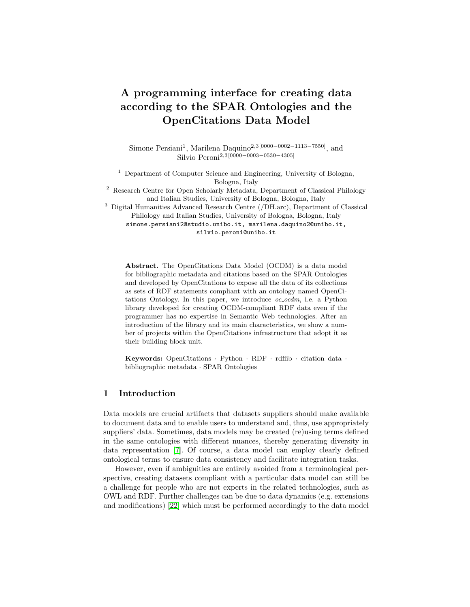# A programming interface for creating data according to the SPAR Ontologies and the OpenCitations Data Model

Simone Persiani<sup>1</sup>, Marilena Daquino<sup>2,3[0000–0002–1113–7550]</sup>, and Silvio Peroni<sup>2,3</sup>[0000−0003−0530−4305]

<sup>1</sup> Department of Computer Science and Engineering, University of Bologna, Bologna, Italy

<sup>2</sup> Research Centre for Open Scholarly Metadata, Department of Classical Philology and Italian Studies, University of Bologna, Bologna, Italy

<sup>3</sup> Digital Humanities Advanced Research Centre (/DH.arc), Department of Classical Philology and Italian Studies, University of Bologna, Bologna, Italy

simone.persiani2@studio.unibo.it, marilena.daquino2@unibo.it, silvio.peroni@unibo.it

Abstract. The OpenCitations Data Model (OCDM) is a data model for bibliographic metadata and citations based on the SPAR Ontologies and developed by OpenCitations to expose all the data of its collections as sets of RDF statements compliant with an ontology named OpenCitations Ontology. In this paper, we introduce  $oc\_ocdm$ , i.e. a Python library developed for creating OCDM-compliant RDF data even if the programmer has no expertise in Semantic Web technologies. After an introduction of the library and its main characteristics, we show a number of projects within the OpenCitations infrastructure that adopt it as their building block unit.

Keywords: OpenCitations · Python · RDF · rdflib · citation data · bibliographic metadata · SPAR Ontologies

# 1 Introduction

Data models are crucial artifacts that datasets suppliers should make available to document data and to enable users to understand and, thus, use appropriately suppliers' data. Sometimes, data models may be created (re)using terms defined in the same ontologies with different nuances, thereby generating diversity in data representation [\[7\]](#page-15-0). Of course, a data model can employ clearly defined ontological terms to ensure data consistency and facilitate integration tasks.

However, even if ambiguities are entirely avoided from a terminological perspective, creating datasets compliant with a particular data model can still be a challenge for people who are not experts in the related technologies, such as OWL and RDF. Further challenges can be due to data dynamics (e.g. extensions and modifications) [\[22\]](#page-16-0) which must be performed accordingly to the data model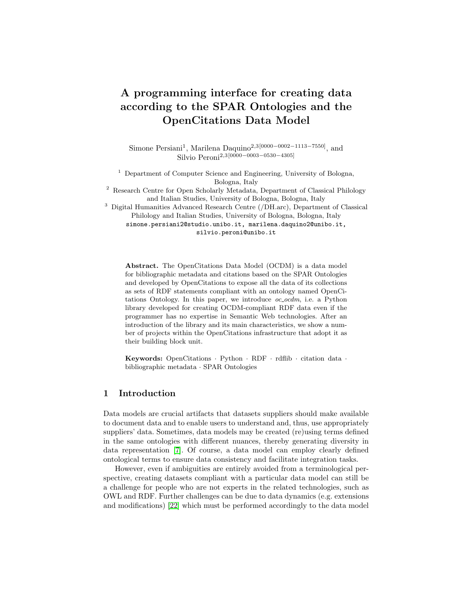#### 2 S. Persiani, M. Daquino, S. Peroni

either to correct possible mistakes in an entity or to introduce new data. Additional complexities in data handling are introduced when the data model asks for tracking entities' provenance and changes every time an entity is modified.

To enable users (e.g. domain experts) to programmatically access the data organised according to a particular data model and to permit their modifications, applications (visual interfaces, web editors, etc.) must be developed to facilitate human-data interaction. However, an additional interface layer should be provided to permit programmers to develop such applications, since such programmers are experts in coding but not necessarily skilled in the technologies used by an underlying data model. Such an interface layer would enable creating and manipulating data transparently from the actual technologies used for their representation, such as RDF and, particularly, OWL ontologies.

The situation introduced above describes what happened in OpenCitations in the past few years. OpenCitations (<http://opencitations.net>) is an independent not-for-profit infrastructure organisation for open scholarship dedicated to the publication of open bibliographic and citation data by the use of Semantic Web technologies [\[27\]](#page-16-1). A few years ago, OpenCitations released the OpenCitations Data Model (OCDM) [\[7\]](#page-15-0), a data model based on SPAR Ontologies [\[26\]](#page-16-2), PROV-O [\[25\]](#page-16-3), and other existing models, for describing all the entities in its collections, keeping track of their provenance and modifications in time. In addition of being reused by OpenCitations, the OCDM has also been recently adopted by other external projects dealing with bibliographic metadata and citations [\[7\]](#page-15-0). The more the OCDM is adopted, the more it is necessary to have a library to simplify the creation of applications dealing with OCDM-compliant data.

In this paper, we introduce a Python library, i.e.  $\alpha$ - $\alpha$ dm [\[29\]](#page-16-4), for enabling data owners and publishers to develop applications using OCDM-based data and provenance information. This library has already been used by OpenCitations in several components and projects, and it is the building block for all the future applications dealing with RDF data in OpenCitations' collections.

The rest of the paper is structured as follows. In Section [2,](#page-1-0) we introduce relevant existing libraries for simplifying the creation of RDF data compliant with data models and ontologies. In Section [3,](#page-2-0) we summarise the OpenCitations Data Model and list the requirements for the development of the library. In Section [4,](#page-5-0) we present the main characteristics of the library, including a discussion of its main modules and classes. In Section [5,](#page-13-0) we address the potential impact, adoption and community involved in the library development and reuse. Finally, in Section [6,](#page-14-0) we conclude the paper sketching out some future developments.

## <span id="page-1-0"></span>2 Related works

Serving easy-to-access and effective instructions to reuse an ontology contributes to the recognition and validation of the quality of the ontology itself [\[13\]](#page-15-1). In recent years, several works have expanded on this aspect adapting FAIR (findable, accessible, interoperable, and reusable) principles to ontologies [\[14,](#page-15-2)[12,](#page-15-3)[31\]](#page-16-5). While ontology engineers have introduced best practices for documenting, versioning,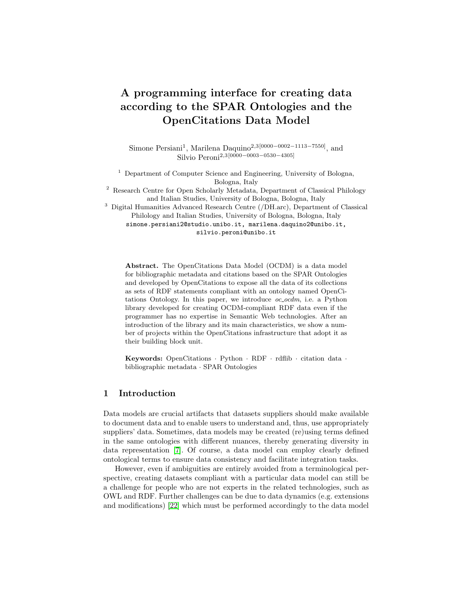and publishing Semantic Web artefacts, they rarely focus on the development of software to enable researchers to programmatically make use of ontologies in the early stages of their project pipelines (e.g. knowledge extraction and RDF data creation). To cope with potential data quality issues arisen by misleading interpretations of the ontologies, the development of SHACL [\[5\]](#page-15-4) and ShEx [\[30\]](#page-16-6) has enabled the validation of data conformance to a schema, which is defined in terms of the syntax and structure of a "shape". Nevertheless, human-readable documentation keeps being the primary way to correctly reuse ontologies, as it can more effectively convey the semantics and interpretation of ontology terms.

Only a few notable ontology providers provide effective solutions to systematically create and organise data according to an ontology. These include Python libraries, like GOATOOLS [\[21\]](#page-16-7), which allows to reuse terms from Gene Ontology and perform data analysis, pronto [\[23\]](#page-16-8), used to access specifications of the Open Biomedical Ontologies [\[33\]](#page-17-0), or motools (<https://github.com/motools>), including a library for consuming terms of the Music Ontology. Alternatively, WYSIWYG tools, like quickstatements (<https://quickstatements.toolforge.org>) and OntoRe ne (<https://disc-semantic.uibk.ac.at/ontorefine>) allow nonexpert users to create and map data conforming to specific data models. It is worth noting that such efforts appear to be common in broad communities where diverse stakeholders, with more or less knowledge of Semantic Web technologies, must reuse the ontology to create data and conform to community standards. These solutions significantly prevent time-consuming quality checks, e.g. on crowdsourced data.

To the best of our knowledge, such aids are lacking in the publishing domain. Converters to transform bibliographic records into linked data accord-ing to RDA vocabularies [\[19\]](#page-16-9) and other models exist, e.g. [\[9\]](#page-15-5) and *bibtex2rdf* (<http://www.l3s.de/~siberski/bibtex2rdf/>). However, only records complying with library metadata standards are suitable for conversion and no programming interfaces are available for alternative formats, therefore excluding data produced by academic journals and venues. Similarly, well-known scholarly linked data providers [\[11](#page-15-6)[,15,](#page-15-7)[1\]](#page-15-8) do not share interfaces for data creation according to their schemas [\[7\]](#page-15-0). In this work, we fill the gap providing a Python library for creating RDF data according to OCDM [\[7\]](#page-15-0). OCDM expands on several modules of the SPAR Ontologies [\[26\]](#page-16-2), therefore allowing stakeholders in the publishing domain to easily create bibliographic and citation data regardless of their legacy formats – that could be stored according to other ontological models e.g. BIBO (<https://bibliontology.com>).

## <span id="page-2-0"></span>3 Model and requirements

The OpenCitations Data Model (OCDM) [\[7\]](#page-15-0) includes terms to describe bibliographic and citation data of scholarly publications. Rather than being yet another ontology, OCDM addresses a broad selection of terms belonging to the SPAR Ontologies [\[26\]](#page-16-2), which have been conveniently collected within the OpenCitations Ontology (OCO, <https://w3id.org/oc/ontology>). Such guide-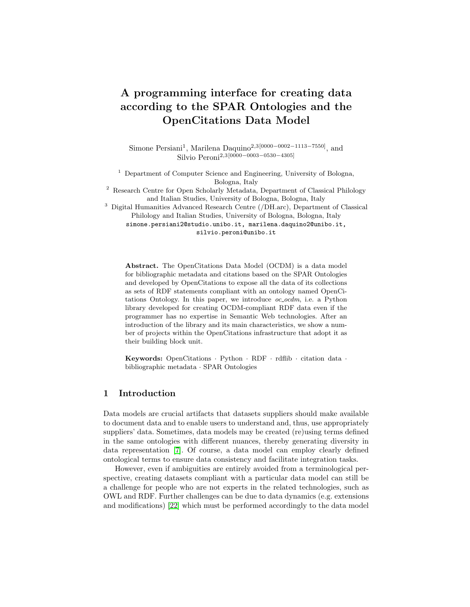#### 4 S. Persiani, M. Daquino, S. Peroni

lines, available as open access human-readable and machine-readable documentation, are adopted by several datasets that are either created and maintained by OpenCitations or by external ontology reusers.



<span id="page-3-0"></span>Fig. 1. The Graffoo diagram [\[10\]](#page-15-9) of the OpenCitations Ontology. Yellow rectangles represent classes, green polygons represent datatypes, while blue and green arrows represent object properties and data properties, respectively.

Specifically, the OCDM provides directives for recording dataset metadata, bibliographic entities metadata, identifiers, and provenance metadata (including versioning and provenance of changes in data). Dataset metadata include information on the distribution (e.g. a downloadable file) of the dataset. Bibliographic metadata (summarised in Fig. [1\)](#page-3-0) include descriptions of bibliographic resources such as journals and articles (fabio:Expression), analog and digital editions of resources (fabio: Manifestation), in-text reference pointers (c4o:InTextReferencePointer), lists of pointers (c4o:SingleLocationPointerList), agents (foaf:Agent) and their roles (pro:Role linked to the agent via pro:RoleInTime), bibliographic references (biro:BibliographicReference), citations (cito:Citation), identifiers and their schemes (datacite:Identifier and datacite:IdentifierScheme).

Provenance metadata describe snapshots of data, which document the evolution of a particular entity as detailed in [\[28\]](#page-16-10). The provenance mechanism enforced by OpenCitations, summarised in Fig. [2,](#page-4-0) foresees an initial creation snapshot, potentially followed by operations like *modi* cation, merge and deletion, each corresponding to an additional snapshot.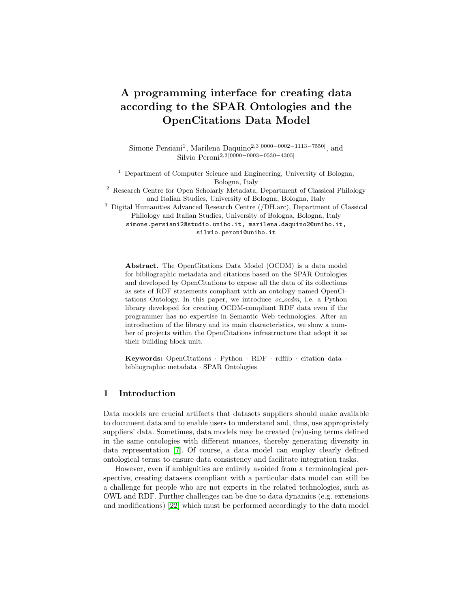

<span id="page-4-0"></span>Fig. 2. The high-level description of the provenance layer of the OCDM to keep track of an entity's changes.



<span id="page-4-1"></span>Fig. 3. The Graffoo diagram describing snapshots (prov:Entity) of an entity (linked via prov:specializationOf) and the related provenance information.

Every snapshot is linked to the described entity via prov: special i zationOf, and to the previous snapshot via prov: wasDerivedFrom (see Fig. [3\)](#page-4-1). Creation time (prov:generatedAtTime) and invalidation time (prov: invalidatedAtTime) of a snapshot are recorded along with the  $SPARQL$ Update query (oco: hasUpdateQuery) that encodes the changes applied with respect to the previous snapshot. The operation is also described with free text (dcterms:description), and the snapshot is linked to the source of metadata (prov:hadPrimarySource) and to the agent responsible for it (prov: wasAttributedTo).

The development of the *oc\_ocdm* library was driven by the need of reengineering the existing OpenCitations' tools to make them modular. These tools should reuse basic software components, among which  $oc\_{oc}$  has a central role. The library was developed considering the following requirements.

The first requirement was to adopt a development methodology that could make errors easier to spot at development time, thus ensuring better code quality even if with increased maintenance costs. We chose the Test Driven Development (TDD) method [\[2\]](#page-15-10), which imposes a preliminary test design phase followed by an alternation of software development and testing.

The second requirement was the need to use a programming language compliant with the one that is used in other OpenCitations' applications, which led us to choose Python. To make the library easy to install for the final user, it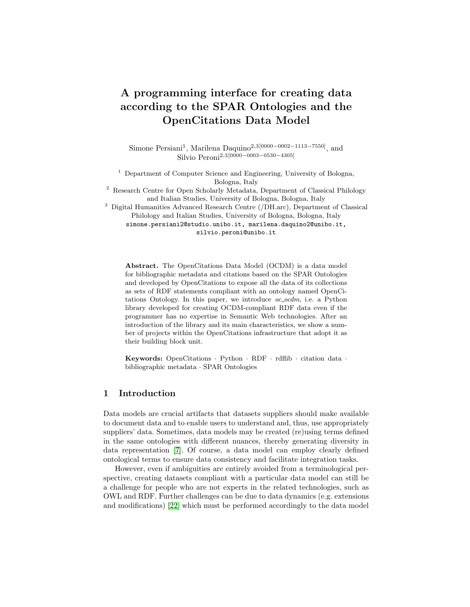was decided to package it, to manage its external dependencies and to release it on the PyPI online repository by making use of Poetry<sup>[4](#page-5-1)</sup>, a tool for dependency management and packaging in Python. In this way it is possible to manage the versioning of the library separately from that of the projects depending on it, making it simpler for users to follow the advancements in its development.

The final requirement was operational and concerned the design of a mechanism to consider the existing state of an entity defined somewhere (e.g. in a file or in a triplestore) in order to understand which modifications are applied to such an entity through the library.

## <span id="page-5-0"></span>4 Implementation

The Python library oc\_ocdm (repository at [https://github.com/opencitations/oc\\_ocdm](https://github.com/opencitations/oc_ocdm), documentation at <https://oc-ocdm.readthedocs.io/>) is based on rdflib<sup>[5](#page-5-2)</sup> and was developed to simplify the handling of OCDM-compliant RDF graphs, including tasks of information extraction, shape validation, editing, provenance tracking and data serialisation. It's organised as a hierarchy of subpackages, each consisting of a set of Python modules. All the main subpackages are shown in Fig. [4](#page-5-3) and in Fig. [5,](#page-6-0) and describe the main classes they define.



<span id="page-5-3"></span>Fig. 4. The UML diagram of the main package and of the counter handler subpackage.

The classes Reader and Storer are used for importing data from external sources and for either exporting data to a file or synchronising entities' status with an external triplestore.

Following OCDM's guidelines, all the entities are named using a URI that contains their local identifier, i.e. an incremental integer that uniquely identifies an entity among all entities of the same type. Thus, in order to enforce the uniqueness of the local identifiers for any given type of entity, the library provides a mechanism to correctly handle such counters. This functionality is provided by the abstract class CounterHandler, for which there currently exist only two implementations. On the one hand, the InMemoryCounterHandler temporarily stores counters via an in-memory data structure, with every progress

<span id="page-5-1"></span> $^4$  <https://python-poetry.org/>

<span id="page-5-2"></span><sup>5</sup> <https://github.com/RDFLib/rdflib>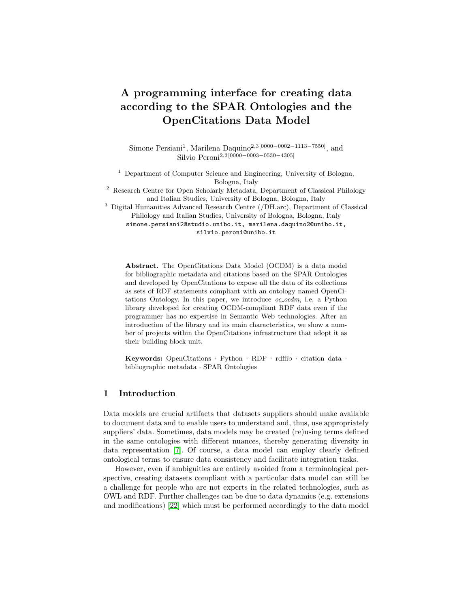being immediately lost when the instance of such class is destroyed. On the other hand, FilesystemCounterHandler makes use of the file system to persistently read and write counters. Both CounterHandler implementations are in charge of keeping track of the last assigned integer number for each kind of entity, incrementing it by one unit when a new entity of the corresponding type is created.



<span id="page-6-0"></span>Fig. 5. The UML diagram of the graph, prov and metadata subpackages.

The \*Set classes, shown in Fig. [5,](#page-6-0) are factories defining collections of entities ( $*Entity$  classes). Each  $*Set$  class contains a reference to a CounterHandler instance (see Fig. [6\)](#page-6-1) for managing the assignments of unique URIs to the newly generated entities. The AbstractSet class is extended by three concrete classes: GraphSet for all kinds of bibliographic entities, ProvSet for entities' provenance snapshots, and MetadataSet for metadata about the dataset and its distributions. Various subclasses of GraphEntity, ProvEntity and MetadataEntity (all subclasses of the AbstractEntity class) were defined so as to represent all the possible types of entities described in the OCDM.

In oc\_ocdm, all the subclasses of GraphEntity and MetadataEntity are able to internally track edits. It is worth mentioning that the library enables the generation of provenance information only for non-provenance entities. In addition, each \*Entity internally holds a reference to the \*Set in which it is contained, leading to the bidirectional containment relationships shown in Fig. [6.](#page-6-1)



<span id="page-6-1"></span>Fig. 6. A UML diagram showing the main relationships between classes in oc\_ocdm.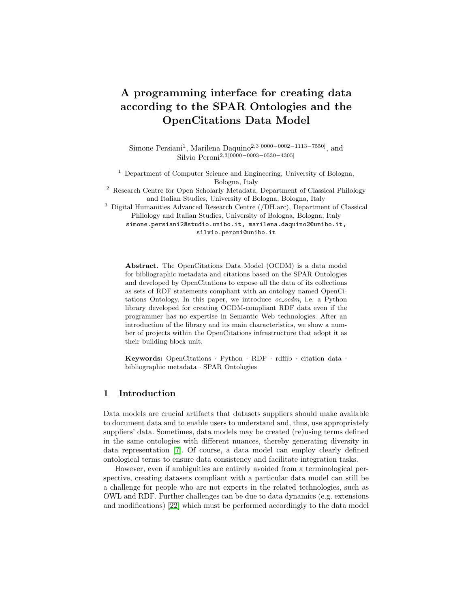### 4.1 Importing data from a persistent RDF graph

The Reader class allows one to import entities from a persistent RDF graph and to parse them to produce their in-memory representations as a collection of Python objects. Entities with an rdf: type which is recognised by the library (i.e. the classes used the OCDM) are automatically converted into an instance of the corresponding \*Entity class and collected inside a \*Set. Additional statements about such entities that are not OCDM-compliant are, anyway, imported into the corresponding in-memory instances, even if they cannot be neither directly accessed nor modified using the methods provided by  $oc\text{-}ocdm$ . Every other entity is ignored and no statement about it are imported.

The import entities from graph method processes instances of the rdflib. Graph class, while import entity from triplestore sends a CON-STRUCT query to a triplestore to retrieve the statements about a single entity. Both methods enable importing only bibliographic entities (converting them into instances of a GraphEntity subclass) and they require an instance of the GraphSet class as input where to collect the imported entities.

Shape validation When using the methods import entities from graph and import entity from triplestore, the user can specify to perform shape validation on the imported graph, in order to filter out all the entities that do not respect the shape constraints described in the OCDM (constraints on a given property regarding its range datatype/class, the minimum/maximum amount of attributes associated to an entity, etc.). This operation is currently handled via the PyShEx library.

The shapes described in the OCDM were formalised into a proper ShExC file, that is the required input of PyShEx. Such a resource is included within the  $\alpha$ -ocdm package. ShEx was a design choice that we inherited from the initial phase of the development, which started a few years ago. We chose the ShExC format because of its simplicity and compactness, which makes it easy to be written and read also by non-expert users.

## 4.2 Data manipulation

Oc ocdm allows one to manipulate the content of OCDM-compliant entities only through the Python API exposed by their corresponding in-memory representations, while it does not offer a way to directly act on the persistent RDF graph. All the changes applied to a graph during a session are not made effective and persistent until the updated state of the in-memory objects is synchronised with the original dataset. The way in which the current OpenCitations' tools deal with such updates is to work with small chunks of the original dataset to reduce the impact on memory usage.

Once a \*Set instance containing the imported entities has been obtained, it is possible to access each entity individually to read its content. Several getter methods are available for each \*Entity class. For example, the title of a BibliographicResource instance can be obtained by calling the method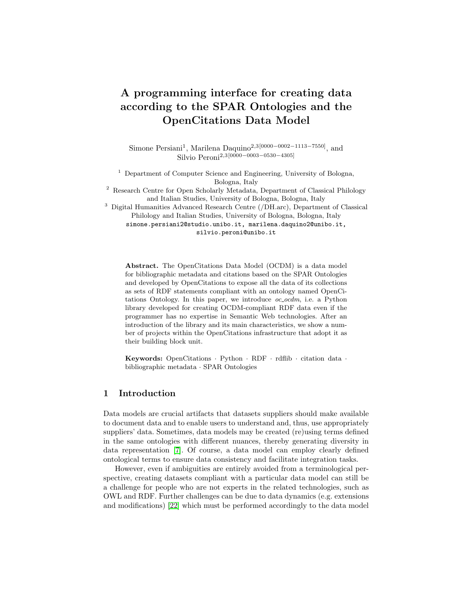get title on it. For each getter method, the Python API provides also two corresponding setter methods: one for adding/modifying a value (e.g. has title) and the other for removing predicate-object pairs (e.g. remove title). It is worth mentioning that, with respect to methods naming, we decided to inherit the naming conventions used in the OCDM. In particular, setter methods recall the name of the ontology predicates to prevent misalignment between the OCDM and the library implementing it.

The method remove every triple modifies the  $*Entity$  by removing every triple from its in-memory representation, without deleting its persistent counterpart. This method could be used to clear the content of an \*Entity instance to start writing on it from scratch.

In general, all the operations that can be performed on an  $*Entity$  allow:

- the creation of a new entity;
- the modification of an entity by adding, changing, or deleting its triples;
- the merging of an entity with another one (not applicable to instances of the ProvEntity subclasses);
- the deletion of the entity from the graph (not applicable to instances of the ProvEntity subclasses).

Creation of an entity The creation of a new entity can be done through one of the  $add_{-}$ <sup>\*</sup> methods made available by the GraphSet, ProvSet and MetadataSet classes. For example, a new Citation entity can be added to a GraphSet via the method add ci. Each new instance is initialised with a triple stating its rdf: type and, optionally, with a user-provided rdfs: label.

Modification of an entity All the methods that apply changes to an entity (e.g. those that add or delete triples) perform preliminary checks to ensure compliance with the following constraints defined in the OCDM:

- the type of the object of a triple must comply with the one specified in the OCDM for the corresponding predicate (e.g. the value supplied to the method has citing entity must be of type BibliographicResource), otherwise an exception is thrown;
- predicates defined as functional properties (e.g. the method has name of ResponsibleAgent) can be associated to at most one object. If called twice, the second value will override the first one.

Merge of entities The merge operation is motivated by user requirements, as it allows to manage deduplication and reconciliation of duplicated entities. Only two or more instances that belong to the same \*Entity class can be merged together. The merge method is used on the \*Entity to keep and specifies, as input, the other  $*Entity$  to merge. Hence, to merge n entities together (including the one to keep), the method must be called  $n-1$  times. Running the instruction A.merge(B) produces the following effects: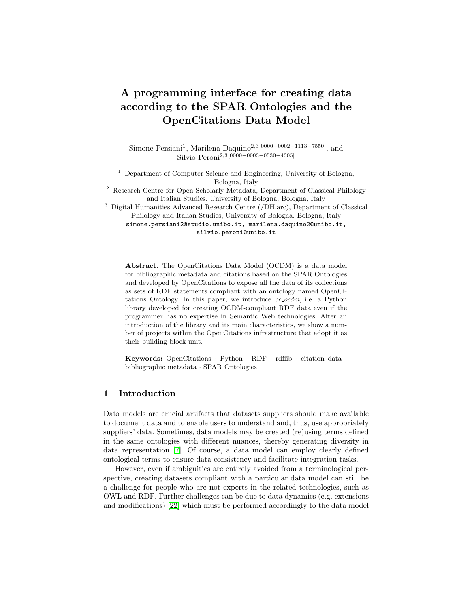- for each predicate which is compliant with the OCDM for the particular type of the entities  $A$  and  $B$ , all corresponding objects from  $B$  are added to  $A$ (with overwriting in case of functional predicates). Every other statement from B which is not compliant with the OCDM gets ignored and it is not added to A;
- regarding the rdf:type predicate, the OCDM allows one to specify at most two values per entity. The first type value is mandatory and must be the same for both  $A$  and  $B$ , being in itself the requirement for enabling the merging operation. The second type value, if present in  $B$ , is added to  $A$  (or overwritten if a second value is already present in  $A$ );
- $-$  B is marked as to be deleted;
- all the other imported entities are scanned to replace  $B$  with  $A$  in all predicate-object pairs in which the object is  $B$ , thus redirecting all the references which still point to B.

Deletion of an entity An \**Entity* can be marked as to be definitively removed from the persistent graph via the method mark as to be deleted. Invoking such method on an  $*$ *Entity E* produces the following effects:

- $E$  is marked as to be deleted;
- all the other imported entities are scanned to remove all predicate-object pairs having  $E$  as object, thus cleaning up dead links.

Additionally, it is possible to remove dead links also from other persistent entities that were not imported via the remove\_dead\_links\_from\_triplestore method from the GraphSet class. Such method is able to import from a triplestore all the entities that refer to at least one \*Entity which is currently marked as to be deleted and to remove the dead links from their in-memory graphs.

Marking an \**Entity* as to be deleted cannot be undone. When we synchronise the deleted entity with the persistent graph,  $\alpha$ - $\alpha$  come automatically recognises that its persistent counterpart has to be completely deleted and it directly removes its persistent triples.

## <span id="page-9-0"></span>4.3 Change tracking

Each  $*Entity$  contains some private fields that are exploited by  $\alpha$ -ocdm to internally keep track of all the operations performed on it and to later reconstruct what happened. This does not apply to provenance entities, since there is no need to generate provenance information for them.

In addition to the rdfl i b. Graph that holds the current triples of the  $E<sup>*</sup>En$ tity, another rdflib.Graph named preexisting graph is initialised during the construction of the Python instance. Such graph is intended to be read-only, as it represents the initial content of the entity at the time of importing it from the persistent graph. This allows, at any stage, to compute the changes introduced through oc ocdm by making a comparison between the two in-memory graphs. There can be situations in which the initial content of an entity is unknown (e.g.

<sup>10</sup> S. Persiani, M. Daquino, S. Peroni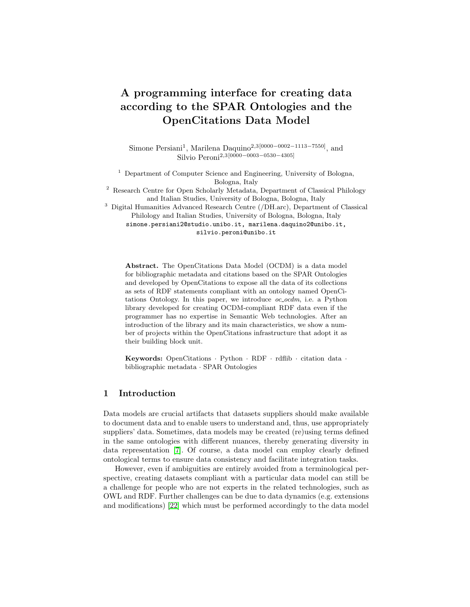when instantiating an  $*Entity$  identified by a URI that is already assigned to an existing entity, without importing its triples from the persistent graph). In this case the preexisting graph remains empty, thus the library can only interpret new triples found inside the graph as to be added to the persistent graph.

For keeping track of merging operations, each \*Entity internally sets a was merged flag while also populating its merge list with all the entities that were merged into it. Finally, the to be deleted flag is set when the  $*Entity$  is marked as to be deleted.

#### 4.4 Provenance generation

The OCDM envisions a provenance graph composed by trees of snapshot entities that describe the evolution of bibliographic entities and their external identifiers. In  $\alpha$ - $\alpha$  oc  $\beta$  m, such entities are represented with instances of the GraphEntity subclasses, which are the only classes having a provenance graph associated.

The most recent snapshot of either a bibliographic entity or an external identifier (e.g. DOI, ISBN, ORCID, . . . ) represents its current persistent content. The provenance generation algorithm provided by  $oc\text{-}oc\text{-}dm$  is responsible for iterating the imported GraphEntity instances and for generating a new snapshot exclusively for those whose content has been modified through the Python API. Usually, each new snapshot invalidates the previous one, and in turn becomes the most recent snapshot for a certain entity. However, in the event that an entity is removed from the persistent graph, the corresponding snapshot to be generated must invalidate both the previous one and also itself, and no other snapshots are linked to it afterwards.

Once the user is satisfied by the changes applied to the imported GraphEntity instances, it is possible to automatically generate a provenance snapshot (i.e. an instance of the SnapshotEntity class) for each involved  $*Entity$ . Such snapshot is intended to describe the changes produced on the related GraphEntity with respect to its preexisting graph.

Multiple operations on the same entity The snapshot entity produced for a given GraphEntity can be of four different types which reflect the  $oc\text{-}ocdm$ 's operations, namely: creation, modification, merging and deletion. When a composition of more than one of these operations is applied to an entity, it is necessary to define a scale of priority to be followed when choosing which of them should be associated with the new snapshot. By design, the highest priority operation is deletion, followed by merging, creation and, finally, modification. For instance, if an entity is modified and later it is deleted, then the particular details of the modification are lost (i.e. they are of no interest anymore), as the operation that correctly summarises the entire process is the deletion. In such a case, a new deletion snapshot would be produced.

The special case of the merging operation When two or more entities are merged together, a merge snapshot must be generated only for the entity that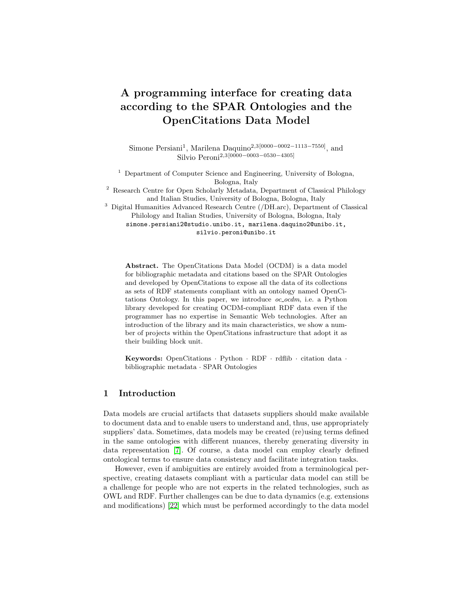the user chooses to keep in the persistent graph (i.e. the one to which the triples of the others are added). The merge snapshot needs to keep a reference to the latest snapshots of all the entities contained in the *merge list* (see Section [4.3\)](#page-9-0) by means of the predicate prov: wasDerivedFrom. It is mandatory that the deletion snapshots for the entities in the *merge list* are generated only afterwards, as the merge snapshot must refer to the snapshots that represent the state of the involved entities prior to their deletion. This requirement imposes a strict ordering constraint in the production of snapshots.

The provenance generation algorithm The algorithm introduced in Listing [1](#page-11-0) describes the rationale for handling the task described in this section. Comments have been inserted in particular branches of the pseudo-code to highlight all the possible scenarios that the algorithm needs to handle. In  $\alpha$ -ocdm, it is implemented by the generate provenance method of the ProvSet class.

<span id="page-11-0"></span>The algorithm iterates (line 2) over the entities  $A$  that have been effectively merged with any number of entities  $B_i$  (i.e.  $A.merge(B_i)$ ), that is, all those entities that have been involved in a merging while not having been consequently marked as to be deleted. For these entities, the following scenarios must be addressed:

- $-$  scenario A.1: A does not exist in the persistent graph, hence a creation snapshot is generated;
- scenario A.2: A already exists in the persistent graph but each  $B_i$  in  $A$ 's merge list does not exist. Since it's not possible for a merge snapshot to refer to the snapshot of any  $B_i$  as they do not exist, such a merge operation can only be interpreted by  $\alpha$ -ocdm as a modification of A;
- **scenario A.3**: A already exists in the persistent graph and at least one  $B_i$ in  $A$ 's merge l i st exists as well. In this case, a merge snapshot is generated for A that references all the latest snapshots of such  $B_i$  entities.

Then, another iteration of the algorithm is performed (line 12) on all the remaining entities E. In this case, the following scenarios can occur:

- $-$  scenario B.1: E does not exist in the persistent graph and was not deleted, hence a creation snapshot is generated. Had it been deleted, no snapshot would have been generated, since the deletion of a non-existing entity does not produce any change to the persistent graph;
- scenario B.2: E already exists in the persistent graph and it was deleted (either explicitly or as a consequence of being involved in a merging operation), hence a deletion snapshot is generated;
- scenario B.3:  $E$  already exists in the persistent graph, it was not deleted but it was modified. In this last case, a modification snapshot is generated.

### 4.5 Data synchronisation

Generally, the last step of a workflow that involves the manipulation of an OCDM-compliant dataset consists in the synchronisation of the in-memory con-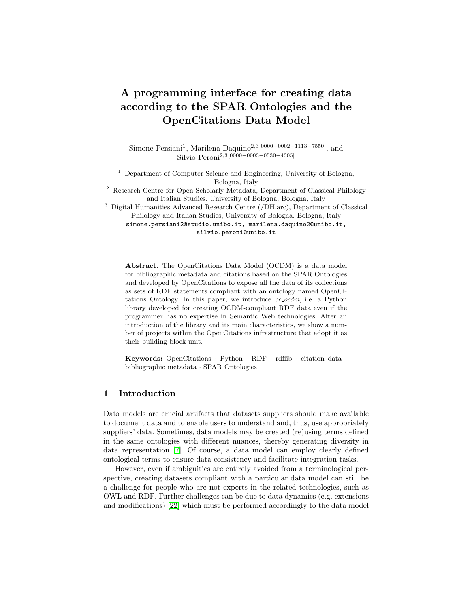Algorithm 1: Pseudocode for provenance generation

|                         | 1 resultSet $\leftarrow$ an empty set                                   |
|-------------------------|-------------------------------------------------------------------------|
|                         | 2 for each entity such that $(wasMerge(entity)$ and not                 |
|                         | $wasDelete d(entity)$ do                                                |
| 3                       | $\mathit{latestSnapshot} \leftarrow retrieveLatestSnapshot(entity)$     |
| 4                       | if <i>latestSnapshot</i> is None then                                   |
|                         | // Scenario A.1 -> Creation                                             |
| 5                       | $resultSet.add(newCreating snapshot()$                                  |
| 6                       | else                                                                    |
| 7                       | $snapshotsList \leftarrow getSnapshotsFromMergeList(entity.mergeList)$  |
| 8                       | if $wasModified(entity)$ and $len(snapshotsList) \leq 0$ then           |
|                         | // Scenario A.2 -> Modification                                         |
| 9                       | $resultSet.add(newModificationSnapshot()$                               |
| 10                      | else if $len(snapshotsList) > 0$ then                                   |
|                         | // Scenario A.3 -> Merge                                                |
| 11                      | resultSet.add(newMergeSnapshot()                                        |
|                         |                                                                         |
| 12                      | foreach remaining entity do                                             |
| 13                      | $\mathit{latestSnapshot} \leftarrow \mathit{getLatestSnapshot}(entity)$ |
| 14                      | if <i>latestSnapshot</i> is None then                                   |
| 15                      | if not <i>wasDeleted</i> ( <i>entity</i> ) then                         |
|                         | // Scenario B.1 -> Creation                                             |
| 16                      | $resultSet.add(newCreating snapshot()$                                  |
| 17                      | else                                                                    |
| 18                      | if $wasDelete d(entity)$ then                                           |
|                         | // Scenario B.2 -> Deletion                                             |
| 19                      | $resultSet.add(newDeletionSnapshot()$                                   |
|                         | else if $wasModified(entity)$ then                                      |
| 20                      | // Scenario B.3 -> Modification                                         |
|                         |                                                                         |
| 21                      | $resultSet.add(newModificationSnapshot())$                              |
|                         |                                                                         |
| $22$ return $resultSet$ |                                                                         |

tent of the \*Entity instances with a triplestore or a persistent RDF resource. All the relevant library operations are collected within the Storer class.

As far as the data serialisation task is concerned, the library supports three possible RDF file formats, namely: N-Triples for bibliographic entities and their external identifiers, N-Quads for provenance entities and JSON-LD (the default option for both kinds of entities).

The methods that the Storer class makes available enable one to work on the content of either a single  $*Entity$  or an entire  $*Set$  and permit considering the related export target (which can be either an RDF file or a SPARQL endpoint). In particular, store and store all methods are used to export respectively a single entity and an entire set of entities on the file system, while upload and upload all are capable of generating batches of SPARQL 1.1 Up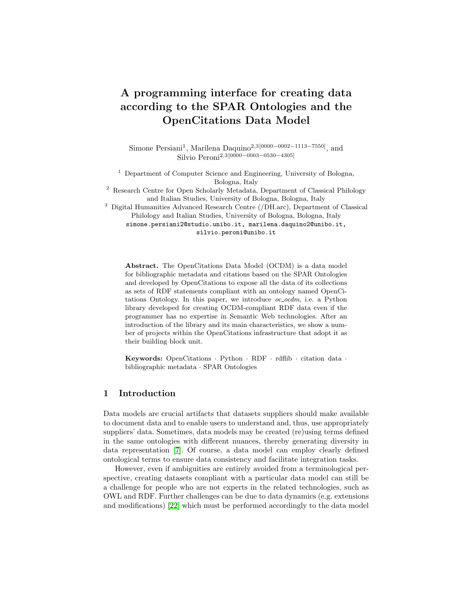14 S. Persiani, M. Daquino, S. Peroni

date queries that are sequentially sent to a user-specified endpoint. Finally, the upload and store method combines the effects of store all and upload all.

Once the synchronisation task is executed, further modifications require the user to first call the commit changes method either on single  $*Entity$  instances or on an entire \*Set. Such method takes care of effectively destroying the Python objects of deleted entities and of resetting the internal state of the other ones (i.e. resetting their boolean flags and realigning the preexisting graph with their updated persistent graph).

## <span id="page-13-0"></span>5 Potential impact, adoption and community

In a previous article [\[7\]](#page-15-0), we demonstrated the impact of OCDM with respect to a growing community, which includes a number of datasets and projects maintained by the OpenCitations infrastructure [\[27,](#page-16-1)[18](#page-16-11)[,16\]](#page-15-11), a few OCDM adopters from diverse disciplines [\[20](#page-16-12)[,24,](#page-16-13)[4\]](#page-15-12), a growing number of applications and services that rely on data served by OpenCitations (e.g., VOSViewer<sup>[6](#page-13-1)</sup>, CitationGecko<sup>[7](#page-13-2)</sup>, VisualBib<sup>[8](#page-13-3)</sup>, and OAHelper<sup>[9](#page-13-4)</sup>, DBLP<sup>[10](#page-13-5)</sup> and Lens.org<sup>[11](#page-13-6)</sup>), and data providers that align data to OpenCitations (e.g., OpenAIRE<sup>[12](#page-13-7)</sup>, MAKG, and WikiCite).

The library oc ocdm has been tested and it is currently integrated into four applications and collaborative projects, namely: Wikipedia Citations in Wiki- $data^{13}$  $data^{13}$  $data^{13}$ , a project funded by the Wikimedia Foundation to extract citations from the English Wikipedia towards external bibliographic resources, transform data to RDF according to OCDM, and upload citations to Wikidata; OpenCitations  $Meta<sup>14</sup>$  $Meta<sup>14</sup>$  $Meta<sup>14</sup>$ , a software to clean and transform tabular bibliographic metadata to RDF according to OCDM; GraphEnricher<sup>[15](#page-13-10)</sup>, a tool for identifiers discovery and data deduplication used to improve data quality of OpenCitations data; finally,  $oc\text{-}ocdm$  is used to define testing benchmarks of another Python library<sup>[16](#page-13-11)</sup> used to perform time and provenance-aware queries on RDF datasets compliant with the OCDM.

Nevertheless, like other software developed by OpenCitations [\[6,](#page-15-13)[8](#page-15-14)[,17\]](#page-16-14), also  $\alpha$ - $\alpha$ *cdm* has been developed with the aim of sharing a component that can be reused in different contexts. In particular, the broader community of SPAR Ontologies adopters can benefit of this programming interface, including current

<span id="page-13-1"></span> $^6$  <https://www.vosviewer.com/>

<span id="page-13-2"></span><sup>7</sup> <https://citationgecko.com/>

<span id="page-13-3"></span> $^8$  <https://visualbib.uniud.it/en/project/>

<span id="page-13-5"></span><span id="page-13-4"></span> $^9$  <https://www.otzberg.net/oahelper/>

 $^{10}$ <https://dblp.org>

<span id="page-13-6"></span> $^{11}$ <https://lens.org>

<span id="page-13-7"></span><sup>12</sup> <https://www.openaire.eu/>

<span id="page-13-8"></span> $^{13}$ [https://meta.wikimedia.org/wiki/Wikicite/grant/Wikipedia\\_Citations\\_in\\_](https://meta.wikimedia.org/wiki/Wikicite/grant/Wikipedia_Citations_in_Wikidata) [Wikidata](https://meta.wikimedia.org/wiki/Wikicite/grant/Wikipedia_Citations_in_Wikidata)

<span id="page-13-9"></span> $^{14}$ <https://github.com/opencitations/meta>

<span id="page-13-10"></span><sup>15</sup> [https://github.com/opencitations/oc\\_graphenricher](https://github.com/opencitations/oc_graphenricher)

<span id="page-13-11"></span><sup>16</sup> <https://github.com/opencitations/time-agnostic-library>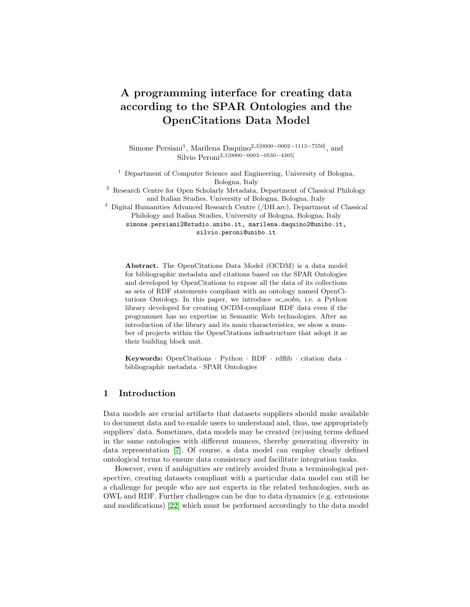adopters for  $(1)$  data creation,  $(2)$  data analysis [\[3\]](#page-15-15),  $(3)$  ontology-based data managements systems [\[32\]](#page-16-15) and (4) academic journals [\[34\]](#page-17-1).

Moreover,  $\alpha$ - $\alpha$ dm can be reused by scholars in the Library and Information Science domain that want to produce bibliographic and citation data according to the SPAR Ontologies, which comply with most of the requirements for bibliographic ontologies (e.g. being based on FRBR conceptual model).

## <span id="page-14-0"></span>6 Conclusions

In this paper, we have introduced  $\alpha$  octors a Python library for enabling the development of applications using OCDM-based data and provenance information. After showing the main requirements for the development, we have introduced its organisation in terms of Python modules and classes and we have presented its current and future uses in the context of several components and projects related to OpenCitations, being the main building block for all the applications dealing with creating and modifying RDF data in OpenCitations' collections.

In the future, we aim at continuing the development of the library adding new features and reusing other existing components. For instance, since mid-February 2021 the development of PyShEx, that it is used to validate input data processed by  $OC_0$ cdm, has been slowed down. Therefore, we plan to convert the  $ShExC$  file into a compact SHACL file and use the  $pySHACL^{17}$  $pySHACL^{17}$  $pySHACL^{17}$  library, which is actively maintained and better optimised.

Another aspect that deserves to be properly addressed is related to the parallel use of the library. Indeed, the current release of  $\alpha$ - $\alpha$ dm is designed to work correctly if no more than one instance of  $\alpha$ - $\alpha$ dm needs to access the indexes used to name new entities. If this condition is not met, episodes of race conditions could easily occur with the risk of assigning the same URI to more entities, therefore compromising the consistency and validity of all the produced data.

Finally, a last aspect that deserves to be addressed concerns the possibility of detaching from the library some aspects that can be applied to any RDF dataset, and not only to OCDM-compliant data. For instance, the way proposed by the OCDM to handle provenance and, in particular, change tracking is independent from the kinds of entities to track and could be devised, in the future, as a possible plugin for rdflib.

Acknowledgements This work has been funded by the project "Open Biomedical Citations in Context Corpus" (Wellcome Trust, Grant n. 214471/Z/18/Z) and the project "Wikipedia Citations in Wikidata" (Wikimedia Foundation, [https://meta.wikimedia.org/wiki/Wikicite/grant/Wikipedia\\_Citations\\_](https://meta.wikimedia.org/wiki/Wikicite/grant/Wikipedia_Citations_in_Wikidata) [in\\_Wikidata](https://meta.wikimedia.org/wiki/Wikicite/grant/Wikipedia_Citations_in_Wikidata)), and partially funded by the European Union's Horizon 2020 research and innovation program under grant agreement No 101017452 (OpenAIRE-Nexus). We would like to thank (in alphabetic order) Fabio Mariani, Arcangelo Massari, and Gabriele Pisciotta for the constructive feedback.

<span id="page-14-1"></span><sup>&</sup>lt;sup>17</sup> <https://github.com/RDFLib/pySHACL>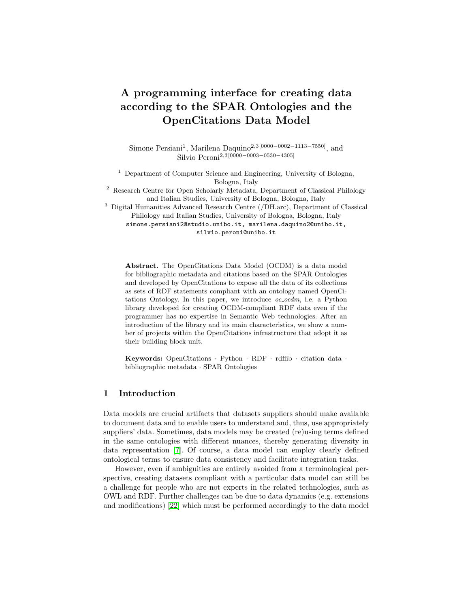# References

- <span id="page-15-8"></span>1. Ammar, W., Groeneveld, D., Bhagavatula, C., Beltagy, I., Crawford, M., Downey, D., Dunkelberger, J., Elgohary, A., Feldman, S., Ha, V., et al.: Construction of the Literature Graph in Semantic Scholar. In: Proceedings of the 2018 Conference of the North American Chapter of the Association for Computational Linguistics: Human Language Technologies, Volume 3 (Industry Papers). pp. 84–91. Association for Computational Linguistics, New Orleans - Louisiana (Jun 2018). [https://doi.org/10.18653/v1/N18-3011,](https://doi.org/10.18653/v1/N18-3011) <https://aclanthology.org/N18-3011>
- <span id="page-15-10"></span>2. Beck, K.: Test-driven development: by example. The Addison-Wesley signature series, Addison-Wesley, Boston (2003)
- <span id="page-15-15"></span>3. Bertin, M., Atanassova, I., Sugimoto, C.R., Lariviere, V.: The linguistic patterns and rhetorical structure of citation context: an approach using n-grams. Scientometrics 109(3), 1417–1434 (2016)
- <span id="page-15-12"></span>4. Colavizza, G., Romanello, M.: Citation Mining of Humanities Journals: The Progress to Date and the Challenges Ahead. Journal of European Periodical Studies 4(1), 36–53 (2019)
- <span id="page-15-4"></span>5. Corman, J., Reutter, J.L., Savković, O.: Semantics and validation of recursive SHACL. In: International Semantic Web Conference. pp. 318–336. Springer (2018)
- <span id="page-15-13"></span>6. Daquino, M., Heibi, I., Peroni, S., Shotton, D.: Creating RESTful APIs over SPARQL endpoints using RAMOSE. arXiv preprint arXiv:2007.16079 (2020)
- <span id="page-15-0"></span>7. Daquino, M., Peroni, S., Shotton, D., Colavizza, G., Ghavimi, B., Lauscher, A., Mayr, P., Romanello, M., Zumstein, P.: The OpenCitations data model. In: International Semantic Web Conference. pp. 447–463. Springer (2020)
- <span id="page-15-14"></span>8. Daquino, M., Tiddi, I., Peroni, S., Shotton, D.: Creating open citation data with BCite. In: Emerging Topics in Semantic Technologies, pp. 83–93. IOS Press (2018)
- <span id="page-15-5"></span>9. Dunsire, G., Fritz, D., Fritz, R.: Instructions, Interfaces, and Interoperable Data: The RIMMF Experience with RDA Revisited. Cataloging & Classification Quarterly 58(1), 44–58 (2020)
- <span id="page-15-9"></span>10. Falco, R., Gangemi, A., Peroni, S., Shotton, D., Vitali, F.: Modelling OWL Ontologies with Graffoo. In: Presutti, V., Blomqvist, E., Troncy, R., Sack, H., Papadakis, I., Tordai, A. (eds.) The Semantic Web: ESWC 2014 Satellite Events. Lecture Notes in Computer Science, vol. 8798, pp. 320–325. Springer International Publishing, Cham (2014). [https://doi.org/10.1007/978-3-319-11955-7](https://doi.org/10.1007/978-3-319-11955-7_42) 42
- <span id="page-15-6"></span>11. Färber, M.: The Microsoft Academic Knowledge Graph: A Linked Data Source with 8 Billion Triples of Scholarly Data. In: International Semantic Web Conference. pp. 113–129. Springer (2019)
- <span id="page-15-3"></span>12. Franc, Y.L., Coen, G., Essen, J.P.v., Bonino, L., Lehväslaiho, H., Staiger, C.: D2.2 FAIR Semantics: First recommendations (2020)
- <span id="page-15-1"></span>13. Gangemi, A., Catenacci, C., Ciaramita, M., Lehmann, J.: Modelling ontology evaluation and validation. In: European Semantic Web Conference. pp. 140–154. Springer (2006)
- <span id="page-15-2"></span>14. Garijo, D., Poveda-Villalòn, M.: Best Practices for Implementing FAIR vocabularies and Ontologies on the Web. Applications and Practices in Ontology Design, Extraction, and Reasoning 49, 39 (2020)
- <span id="page-15-7"></span>15. Hammond, T., Pasin, M., Theodoridis, E.: Data integration and disintegration: Managing Springer Nature SciGraph with SHACL and OWL. In: International semantic web conference (Posters, Demos & Industry Tracks) (2017)
- <span id="page-15-11"></span>16. Heibi, I., Peroni, S., Shotton, D.: Crowdsourcing open citations with CROCI–An analysis of the current status of open citations, and a proposal. arXiv preprint arXiv:1902.02534 (2019)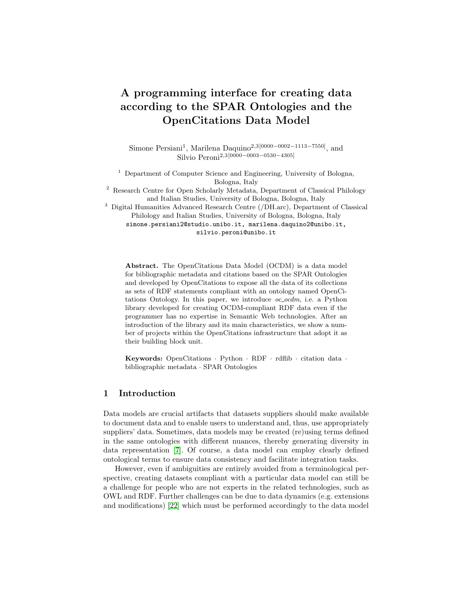- <span id="page-16-14"></span>17. Heibi, I., Peroni, S., Shotton, D.: Enabling text search on SPARQL endpoints through OSCAR. Data Science 2(1-2), 205–227 (2019)
- <span id="page-16-11"></span>18. Heibi, I., Peroni, S., Shotton, D.: Software review: COCI, the OpenCitations Index of Crossref open DOI-to-DOI citations. Scientometrics 121(2), 1213–1228 (2019)
- <span id="page-16-9"></span>19. Hillmann, D., Coyle, K., Phipps, J., Dunsire, G.: RDA vocabularies: process, outcome, use. D-Lib magazine  $16(1/2)$ , 6 (2010)
- <span id="page-16-12"></span>20. Hosseini, A., Ghavimi, B., Boukhers, Z., Mayr, P.: EXCITE–A toolchain to extract, match and publish open literature references. In: 2019 ACM/IEEE Joint Conference on Digital Libraries (JCDL). pp. 432–433. IEEE (2019)
- <span id="page-16-7"></span>21. Klopfenstein, D., Zhang, L., Pedersen, B.S., Ramírez, F., Vesztrocy, A.W., Naldi, A., Mungall, C.J., Yunes, J.M., Botvinnik, O., Weigel, M., et al.: GOATOOLS: A Python library for Gene Ontology analyses. Scientific reports 8(1), 1–17 (2018)
- <span id="page-16-0"></span>22. Käfer, T., Abdelrahman, A., Umbrich, J., O'Byrne, P., Hogan, A.: Observing Linked Data Dynamics. In: Hutchison, D., Kanade, T., Kittler, J., Kleinberg, J.M., Mattern, F., Mitchell, J.C., Naor, M., Nierstrasz, O., Pandu Rangan, C., Steffen, B., Sudan, M., Terzopoulos, D., Tygar, D., Vardi, M.Y., Weikum, G., Cimiano, P., Corcho, O., Presutti, V., Hollink, L., Rudolph, S. (eds.) The Semantic Web: Semantics and Big Data. vol. 7882, pp. 213–227. Springer Berlin Heidelberg, Berlin, Heidelberg (2013). [https://doi.org/10.1007/978-3-642-38288-8](https://doi.org/10.1007/978-3-642-38288-8_15) 15, series Title: Lecture Notes in Computer Science
- <span id="page-16-8"></span>23. Larralde, M., A., P., Henrie, A., Himmelstein, D., Mitchell, S., Sakaguchi, T.: althonos/pronto: 2.4.3 (Aug 2021).<https://doi.org/10.5281/zenodo.5153400>
- <span id="page-16-13"></span>24. Lauscher, A., Eckert, K., Galke, L., Scherp, A., Rizvi, S.T.R., Ahmed, S., Dengel, A., Zumstein, P., Klein, A.: Linked open citation database: Enabling libraries to contribute to an open and interconnected citation graph. In: Proceedings of the 18th ACM/IEEE on Joint Conference on Digital Libraries. pp. 109–118 (2018)
- <span id="page-16-3"></span>25. Lebo, T., Sahoo, S., McGuinness, D.: PROV-O: The PROV Ontology. W3C Recommendation 30 april 2013 (Apr 2013), [http://www.w3.org/TR/2013/](http://www.w3.org/TR/2013/REC-prov-o-20130430/) [REC-prov-o-20130430/](http://www.w3.org/TR/2013/REC-prov-o-20130430/)
- <span id="page-16-2"></span>26. Peroni, S., Shotton, D.: The SPAR ontologies. In: International Semantic Web Conference. pp. 119–136. Springer (2018)
- <span id="page-16-1"></span>27. Peroni, S., Shotton, D.: OpenCitations, an infrastructure organization for open scholarship. Quantitative Science Studies 1(1), 428–444 (2020)
- <span id="page-16-10"></span>28. Peroni, S., Shotton, D., Vitali, F.: A document-inspired way for tracking changes of RDF data - The case of the OpenCitations Corpus. In: Hollink, L., Dar´anyi, S., Meroño Peñuela, A., Kontopoulos, E. (eds.) Detection, Representation and Management of Concept Drift in Linked Open Data. CEUR Workshop Proceedings, vol. 1799, pp. 26–33. CEUR-WS, Aachen, Germany (2016), [http://ceur-ws.org/](http://ceur-ws.org/Vol-1799/Drift-a-LOD2016_paper_4.pdf) [Vol-1799/Drift-a-LOD2016\\_paper\\_4.pdf](http://ceur-ws.org/Vol-1799/Drift-a-LOD2016_paper_4.pdf)
- <span id="page-16-4"></span>29. Persiani, S.: opencitations/oc ocdm (version 6.0.2) (Dec 2021). <https://doi.org/10.5281/zenodo.5770647>
- <span id="page-16-6"></span>30. Prud'hommeaux, E., Labra Gayo, J.E., Solbrig, H.: Shape Expressions: An RDF Validation and Transformation Language. In: Proceedings of the 10th International Conference on Semantic Systems. p. 32–40. SEM '14, Association for Computing Machinery, New York, NY, USA (2014).<https://doi.org/10.1145/2660517.2660523>
- <span id="page-16-5"></span>31. Riungu-Kalliosaari, L., Hooft, R., Kuijpers, S., Parland-von Essen, J., Tana, J.: D2.4 2nd Report on FAIR requirements for persistence and interoperability (2020)
- <span id="page-16-15"></span>32. Senderov, V., Simov, K., Franz, N., Stoev, P., Catapano, T., Agosti, D., Sautter, G., Morris, R.A., Penev, L.: OpenBiodiv-O: ontology of the OpenBiodiv knowledge management system. Journal of biomedical semantics  $9(1)$ , 1–15 (2018)